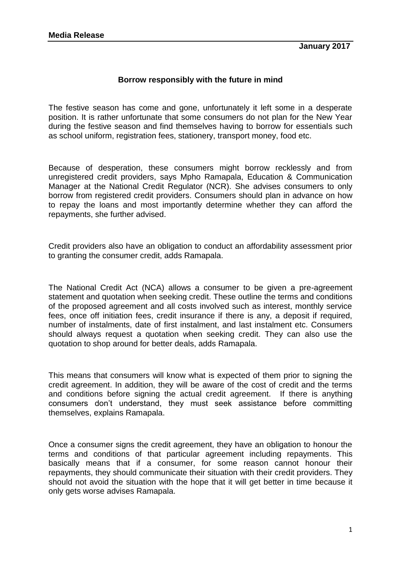## **Borrow responsibly with the future in mind**

The festive season has come and gone, unfortunately it left some in a desperate position. It is rather unfortunate that some consumers do not plan for the New Year during the festive season and find themselves having to borrow for essentials such as school uniform, registration fees, stationery, transport money, food etc.

Because of desperation, these consumers might borrow recklessly and from unregistered credit providers, says Mpho Ramapala, Education & Communication Manager at the National Credit Regulator (NCR). She advises consumers to only borrow from registered credit providers. Consumers should plan in advance on how to repay the loans and most importantly determine whether they can afford the repayments, she further advised.

Credit providers also have an obligation to conduct an affordability assessment prior to granting the consumer credit, adds Ramapala.

The National Credit Act (NCA) allows a consumer to be given a pre-agreement statement and quotation when seeking credit. These outline the terms and conditions of the proposed agreement and all costs involved such as interest, monthly service fees, once off initiation fees, credit insurance if there is any, a deposit if required, number of instalments, date of first instalment, and last instalment etc. Consumers should always request a quotation when seeking credit. They can also use the quotation to shop around for better deals, adds Ramapala.

This means that consumers will know what is expected of them prior to signing the credit agreement. In addition, they will be aware of the cost of credit and the terms and conditions before signing the actual credit agreement. If there is anything consumers don't understand, they must seek assistance before committing themselves, explains Ramapala.

Once a consumer signs the credit agreement, they have an obligation to honour the terms and conditions of that particular agreement including repayments. This basically means that if a consumer, for some reason cannot honour their repayments, they should communicate their situation with their credit providers. They should not avoid the situation with the hope that it will get better in time because it only gets worse advises Ramapala.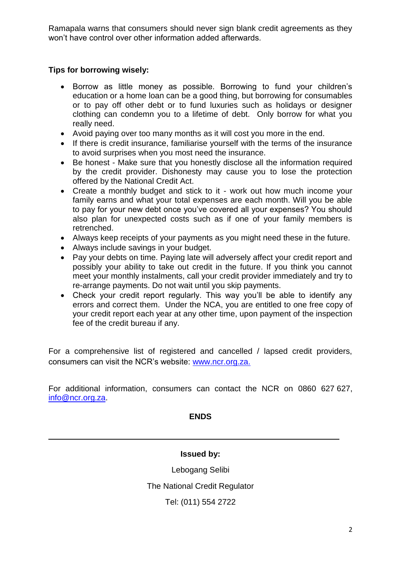Ramapala warns that consumers should never sign blank credit agreements as they won't have control over other information added afterwards.

## **Tips for borrowing wisely:**

- Borrow as little money as possible. Borrowing to fund your children's education or a home loan can be a good thing, but borrowing for consumables or to pay off other debt or to fund luxuries such as holidays or designer clothing can condemn you to a lifetime of debt. Only borrow for what you really need.
- Avoid paying over too many months as it will cost you more in the end.
- If there is credit insurance, familiarise yourself with the terms of the insurance to avoid surprises when you most need the insurance.
- Be honest Make sure that you honestly disclose all the information required by the credit provider. Dishonesty may cause you to lose the protection offered by the National Credit Act.
- Create a monthly budget and stick to it work out how much income your family earns and what your total expenses are each month. Will you be able to pay for your new debt once you've covered all your expenses? You should also plan for unexpected costs such as if one of your family members is retrenched.
- Always keep receipts of your payments as you might need these in the future.
- Always include savings in your budget.
- Pay your debts on time. Paying late will adversely affect your credit report and possibly your ability to take out credit in the future. If you think you cannot meet your monthly instalments, call your credit provider immediately and try to re-arrange payments. Do not wait until you skip payments.
- Check your credit report regularly. This way you'll be able to identify any errors and correct them. Under the NCA, you are entitled to one free copy of your credit report each year at any other time, upon payment of the inspection fee of the credit bureau if any.

For a comprehensive list of registered and cancelled / lapsed credit providers, consumers can visit the NCR's website: [www.ncr.org.za.](http://www.ncr.org.za/)

For additional information, consumers can contact the NCR on 0860 627 627, [info@ncr.org.za.](mailto:info@ncr.org.za)

## **ENDS**

## **Issued by:**

Lebogang Selibi

The National Credit Regulator

Tel: (011) 554 2722